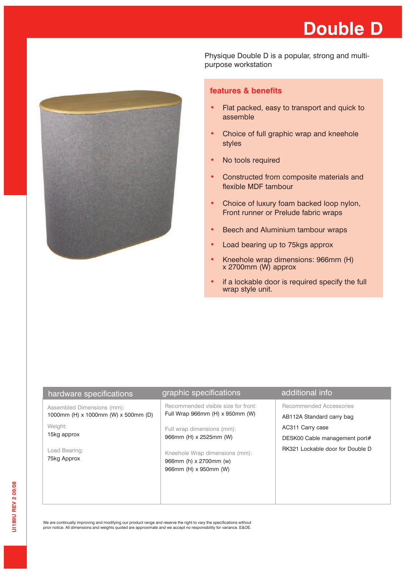

Physique Double D is a popular, strong and multipurpose workstation

## **features & benefits**

- Flat packed, easy to transport and quick to assemble
- Choice of full graphic wrap and kneehole styles
- No tools required
- Constructed from composite materials and flexible MDF tambour
- **•** Choice of luxury foam backed loop nylon, Front runner or Prelude fabric wraps
- Beech and Aluminium tambour wraps
- Load bearing up to 75kgs approx
- **•** Kneehole wrap dimensions: 966mm (H) x 2700mm (W) approx
- **•** if a lockable door is required specify the full wrap style unit.

|                                                                                   | additional info                                      |
|-----------------------------------------------------------------------------------|------------------------------------------------------|
| Recommended visible size for front:<br>Full Wrap 966mm (H) x 950mm (W)            | Recommended Accessories<br>AB112A Standard carry bag |
| Full wrap dimensions (mm):<br>966mm (H) x 2525mm (W)                              | AC311 Carry case<br>DESK00 Cable management port#    |
| Kneehole Wrap dimensions (mm):<br>966mm (h) x 2700mm (w)<br>966mm (H) x 950mm (W) | RK321 Lockable door for Double D                     |
|                                                                                   | graphic specifications                               |

We are continually improving and modifying our product range and reserve the right to vary the specifications without prior notice. All dimensions and weights quoted are approximate and we accept no responsibility for variance. E&OE.